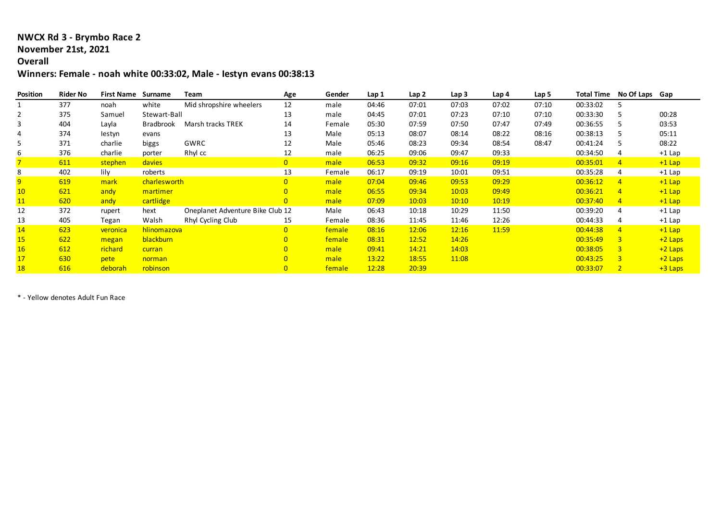## **NWCX Rd 3 - Brymbo Race 2**

#### **November 21st, 2021**

### **Overall**

# **Winners: Female - noah white 00:33:02, Male - Iestyn evans 00:38:13**

| Position       | <b>Rider No</b> | <b>First Name</b> | Surname          | Team                             | Age            | Gender | Lap 1 | Lap <sub>2</sub> | Lap 3 | Lap 4 | Lap 5 | <b>Total Time</b> | No Of Laps Gap |           |
|----------------|-----------------|-------------------|------------------|----------------------------------|----------------|--------|-------|------------------|-------|-------|-------|-------------------|----------------|-----------|
|                | 377             | noah              | white            | Mid shropshire wheelers          | 12             | male   | 04:46 | 07:01            | 07:03 | 07:02 | 07:10 | 00:33:02          |                |           |
|                | 375             | Samuel            | Stewart-Ball     |                                  | 13             | male   | 04:45 | 07:01            | 07:23 | 07:10 | 07:10 | 00:33:30          |                | 00:28     |
| 3              | 404             | Layla             | <b>Bradbrook</b> | Marsh tracks TREK                | 14             | Female | 05:30 | 07:59            | 07:50 | 07:47 | 07:49 | 00:36:55          |                | 03:53     |
| 4              | 374             | lestyn            | evans            |                                  | 13             | Male   | 05:13 | 08:07            | 08:14 | 08:22 | 08:16 | 00:38:13          |                | 05:11     |
|                | 371             | charlie           | biggs            | GWRC                             | 12             | Male   | 05:46 | 08:23            | 09:34 | 08:54 | 08:47 | 00:41:24          |                | 08:22     |
| 6              | 376             | charlie           | porter           | Rhyl cc                          | 12             | male   | 06:25 | 09:06            | 09:47 | 09:33 |       | 00:34:50          | 4              | $+1$ Lap  |
|                | 611             | stephen           | davies           |                                  | $\overline{0}$ | male   | 06:53 | 09:32            | 09:16 | 09:19 |       | 00:35:01          | 4              | $+1$ Lap  |
|                | 402             | lily              | roberts          |                                  | 13             | Female | 06:17 | 09:19            | 10:01 | 09:51 |       | 00:35:28          | 4              | $+1$ Lap  |
| $\overline{9}$ | 619             | mark              | charlesworth     |                                  | $\overline{0}$ | male   | 07:04 | 09:46            | 09:53 | 09:29 |       | 00:36:12          | 4              | $+1$ Lap  |
| 10             | 621             | andy              | martimer         |                                  | $\overline{0}$ | male   | 06:55 | 09:34            | 10:03 | 09:49 |       | 00:36:21          | 4              | $+1$ Lap  |
| 11             | 620             | andy              | cartlidge        |                                  | $\overline{0}$ | male   | 07:09 | 10:03            | 10:10 | 10:19 |       | 00:37:40          | $\overline{4}$ | $+1$ Lap  |
| 12             | 372             | rupert            | hext             | Oneplanet Adventure Bike Club 12 |                | Male   | 06:43 | 10:18            | 10:29 | 11:50 |       | 00:39:20          | 4              | $+1$ Lap  |
| 13             | 405             | Tegan             | Walsh            | Rhyl Cycling Club                | 15             | Female | 08:36 | 11:45            | 11:46 | 12:26 |       | 00:44:33          |                | $+1$ Lap  |
| 14             | 623             | veronica          | hlinomazova      |                                  | $\overline{0}$ | female | 08:16 | 12:06            | 12:16 | 11:59 |       | 00:44:38          | $\overline{4}$ | $+1$ Lap  |
| 15             | 622             | megan             | blackburn        |                                  | $\overline{0}$ | female | 08:31 | 12:52            | 14:26 |       |       | 00:35:49          | 3              | $+2$ Laps |
| <b>16</b>      | 612             | richard           | curran           |                                  | $\overline{0}$ | male   | 09:41 | 14:21            | 14:03 |       |       | 00:38:05          | $\overline{3}$ | $+2$ Laps |
| 17             | 630             | pete              | norman           |                                  | $\overline{0}$ | male   | 13:22 | 18:55            | 11:08 |       |       | 00:43:25          | $\overline{3}$ | $+2$ Laps |
| <b>18</b>      | 616             | deborah           | robinson         |                                  | $\overline{0}$ | female | 12:28 | 20:39            |       |       |       | 00:33:07          |                | $+3$ Laps |

\* - Yellow denotes Adult Fun Race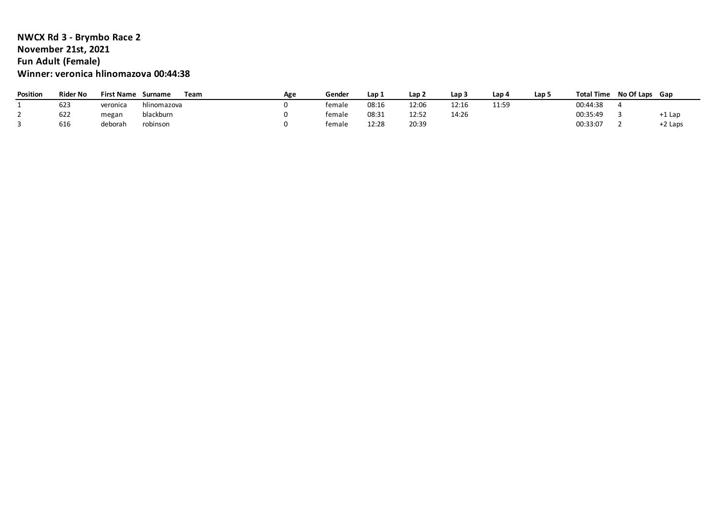## **NWCX Rd 3 - Brymbo Race 2 November 21st, 2021 Fun Adult (Female) Winner: veronica hlinomazova 00:44:38**

| Position | <b>Rider No</b> | <b>First Name</b> | Surname     | Team | Age | Gende <sup>,</sup> | Lap 1 | Lap 2 | Lap 3 | Lap 4 | Lap 5 | <b>Total Time</b> | No Of Laps Gap |         |
|----------|-----------------|-------------------|-------------|------|-----|--------------------|-------|-------|-------|-------|-------|-------------------|----------------|---------|
|          | 623             | veronica          | hlinomazova |      |     | female             | 08:16 | 12:06 | 12:16 | 11:59 |       | 00:44:38          |                |         |
|          | 622             | megan             | blackburn   |      |     | female             | 08:31 | 12:52 | 14:26 |       |       | 00:35:49          |                | +1 Lap  |
|          | 616             | deborah           | robinson    |      |     | female             | 12:28 | 20:39 |       |       |       | 00:33:07          |                | +2 Laps |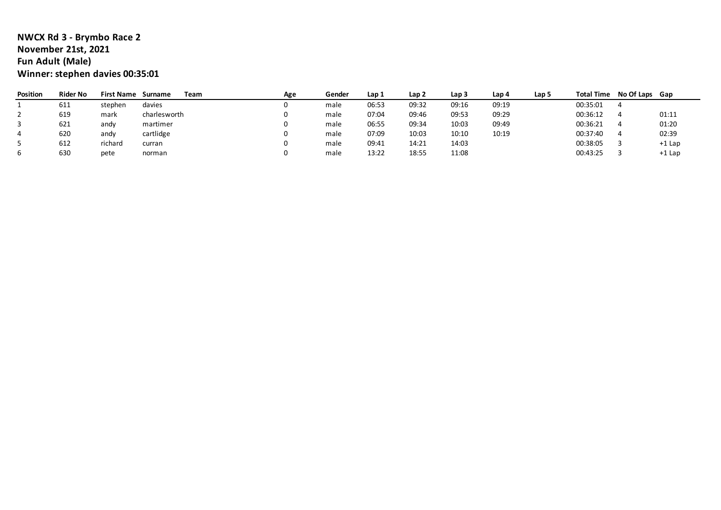## **NWCX Rd 3 - Brymbo Race 2 November 21st, 2021 Fun Adult (Male) Winner: stephen davies 00:35:01**

| Position | <b>Rider No</b> | <b>First Name</b> | Surname      | Team | Age | Gender | Lap 1 | Lap <sub>2</sub> | Lap 3 | Lap 4 | Lap 5 | <b>Total Time</b> | No Of Laps Gap |        |
|----------|-----------------|-------------------|--------------|------|-----|--------|-------|------------------|-------|-------|-------|-------------------|----------------|--------|
|          | 611             | stephen           | davies       |      |     | male   | 06:53 | 09:32            | 09:16 | 09:19 |       | 00:35:01          |                |        |
|          | 619             | mark              | charlesworth |      |     | male   | 07:04 | 09:46            | 09:53 | 09:29 |       | 00:36:12          |                | 01:11  |
|          | 621             | andy              | martimer     |      |     | male   | 06:55 | 09:34            | 10:03 | 09:49 |       | 00:36:21          |                | 01:20  |
|          | 620             | andy              | cartlidge    |      |     | male   | 07:09 | 10:03            | 10:10 | 10:19 |       | 00:37:40          |                | 02:39  |
|          | 612             | richard           | curran       |      |     | male   | 09:41 | 14:21            | 14:03 |       |       | 00:38:05          |                | +1 Lap |
|          | 630             | pete              | norman       |      |     | male   | 13:22 | 18:55            | 11:08 |       |       | 00:43:25          |                | +1 Lap |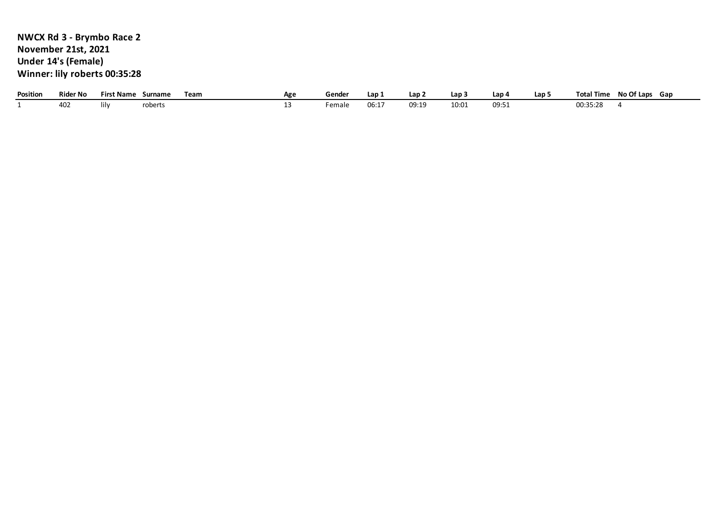# **NWCX Rd 3 - Brymbo Race 2 November 21st, 2021 Under 14's (Female) Winner: lily roberts 00:35:28**

| Position | <b>Rider No</b> | $^{\circ}$ Name<br>-irc' | Surname | Team | Age | Gender | Lap.        | Lap :          | Lap : | ، Lap            | Lap. | $^+$ Time $^-$<br>Tota | No Of Laps | Gan |
|----------|-----------------|--------------------------|---------|------|-----|--------|-------------|----------------|-------|------------------|------|------------------------|------------|-----|
|          | FUZ.            | lılv                     | roberts |      |     | emale  | nc.<br>UD.⊥ | ∩a∙1a<br>ししょよい | 10:01 | <br><b>UJ.JI</b> |      | 00:35:28               |            |     |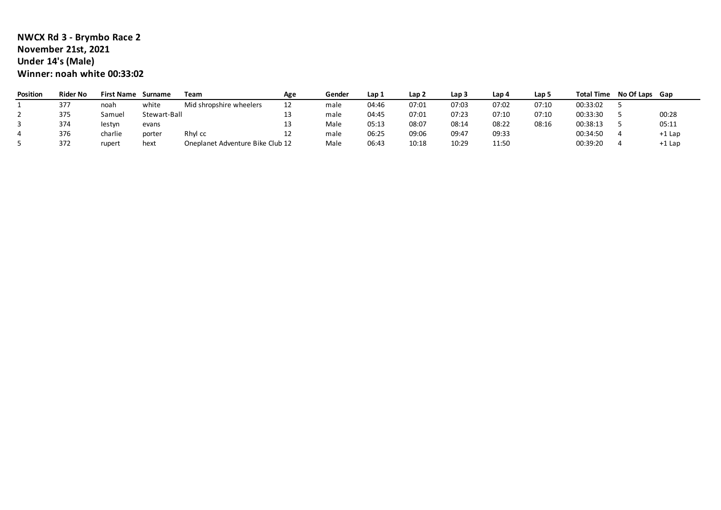## **NWCX Rd 3 - Brymbo Race 2 November 21st, 2021 Under 14's (Male) Winner: noah white 00:33:02**

| <b>Position</b> | <b>Rider No</b> | <b>First Name</b> | Surname      | Team                             | Age | Gender | Lap 1 | Lap 2 | Lap <sub>3</sub> | Lap 4 | Lap 5 | <b>Total Time</b> | No Of Laps Gap |        |
|-----------------|-----------------|-------------------|--------------|----------------------------------|-----|--------|-------|-------|------------------|-------|-------|-------------------|----------------|--------|
|                 | 377             | noah              | white        | Mid shropshire wheelers          | 12  | male   | 04:46 | 07:01 | 07:03            | 07:02 | 07:10 | 00:33:02          |                |        |
|                 | 375             | Samuel            | Stewart-Ball |                                  |     | male   | 04:45 | 07:01 | 07:23            | 07:10 | 07:10 | 00:33:30          |                | 00:28  |
|                 | 374             | lestyn            | evans        |                                  |     | Male   | 05:13 | 08:07 | 08:14            | 08:22 | 08:16 | 00:38:13          |                | 05:11  |
|                 | 376             | charlie           | porter       | Rhyl cc                          | ᆠ   | male   | 06:25 | 09:06 | 09:47            | 09:33 |       | 00:34:50          |                | +1 Lap |
|                 | 372             | rupert            | hext         | Oneplanet Adventure Bike Club 12 |     | Male   | 06:43 | 10:18 | 10:29            | 11:50 |       | 00:39:20          |                | +1 Lap |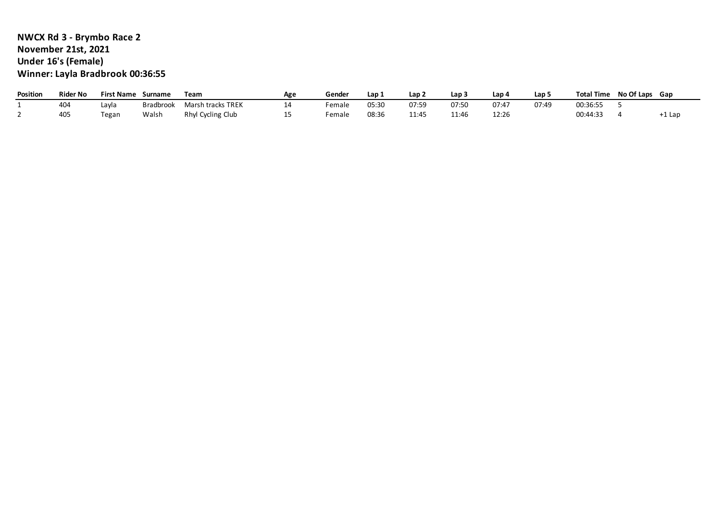# **NWCX Rd 3 - Brymbo Race 2 November 21st, 2021 Under 16's (Female) Winner: Layla Bradbrook 00:36:55**

| <b>Position</b> | Rider No | <b>First Name</b> | Surname   | Team                     | Age | Gende  | Lap   | ے Lap | Lap           | ، Lap          | Lap ! | <b>Total Time</b> | No Of Laps Gap |        |
|-----------------|----------|-------------------|-----------|--------------------------|-----|--------|-------|-------|---------------|----------------|-------|-------------------|----------------|--------|
|                 | 404      | Lavla             | Bradbrool | <b>Marsh tracks TREK</b> |     | Female | 05:30 | 07:59 | 07:50         | 07:47          | 07:49 | 00:36:55          |                |        |
|                 | 405      | <b>Tegan</b>      | Walsh     | Rhyl Cycling Club        | --  | Female | 08:36 | 11:45 | 11.16<br>⊥⊥.4 | 12.26<br>12.ZU |       | 00:44:33          |                | -1 Lar |